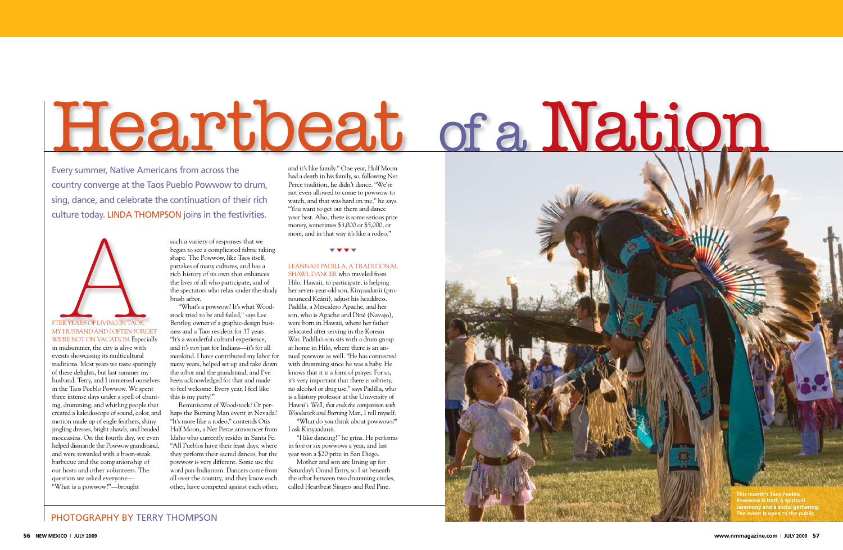in midsummer, the city is alive with events showcasing its multicultural traditions. Most years we taste sparingly of these delights, but last summer my husband, Terry, and I immersed ourselves in the Taos Pueblo Powwow. We spent three intense days under a spell of chanting, drumming, and whirling people that created a kaleidoscope of sound, color, and motion made up of eagle feathers, shiny jingling dresses, bright shawls, and beaded moccasins. On the fourth day, we even helped dismantle the Powwow grandstand, and were rewarded with a bison-steak barbecue and the companionship of our hosts and other volunteers. The question we asked everyone— "What is a powwow?"—brought

such a variety of responses that we began to see a complicated fabric taking shape. The Powwow, like Taos itself, partakes of many cultures, and has a rich history of its own that enhances the lives of all who participate, and of the spectators who relax under the shady brush arbor.

"What's a powwow? It's what Woodstock tried to be and failed," says Lee Bentley, owner of a graphic-design business and a Taos resident for 37 years. "It's a wonderful cultural experience, and it's not just for Indians—it's for all mankind. I have contributed my labor for many years, helped set up and take down the arbor and the grandstand, and I've been acknowledged for that and made to feel welcome. Every year, I feel like this is my party!"

SHAWL DANCER who traveled from Hilo, Hawaii, to participate, is helping her seven-year-old son, Kinyaadanii (pronounced Keáni), adjust his headdress. Padilla, a Mescalero Apache, and her son, who is Apache and Diné (Navajo), were born in Hawaii, where her father relocated after serving in the Korean War. Padilla's son sits with a drum group at home in Hilo, where there is an annual powwow as well. "He has connected with drumming since he was a baby. He knows that it is a form of prayer. For us, it's very important that there is sobriety, no alcohol or drug use," says Padilla, who is a history professor at the University of Hawai'i. *Well, that ends the comparison with Woodstock and Burning Man*, I tell myself. "What do *you* think about powwows?"

Every summer, Native Americans from across the country converge at the Taos Pueblo Powwow to drum, sing, dance, and celebrate the continuation of their rich culture today. LINDA THOMPSON joins in the festivities.

> Reminiscent of Woodstock? Or perhaps the Burning Man event in Nevada? "It's more like a rodeo," contends Otis Half Moon, a Nez Perce announcer from Idaho who currently resides in Santa Fe. "All Pueblos have their feast days, where they perform their sacred dances, but the powwow is very different. Some use the word pan-Indianism. Dancers come from all over the country, and they know each other, have competed against each other,



fter years of living in Taos, my husband and I often forget WE'RE NOT ON VACATION. Especially

and it's like family." One year, Half Moon had a death in his family, so, following Nez Perce tradition, he didn't dance. "We're not even allowed to come to powwow to watch, and that was hard on me," he says. "You want to get out there and dance your best. Also, there is some serious prize money, sometimes \$3,000 or \$5,000, or more, and in that way it's like a rodeo."

#### $\mathbf{v}$   $\mathbf{v}$   $\mathbf{v}$

#### Leannah Padilla, a traditional

I ask Kinyaadanii.

"I like dancing!" he grins. He performs in five or six powwows a year, and last year won a \$20 prize in San Diego.

Mother and son are lining up for Saturday's Grand Entry, so I sit beneath the arbor between two drumming circles, called Heartbeat Singers and Red Pine.

# Heartbeat of a Nation

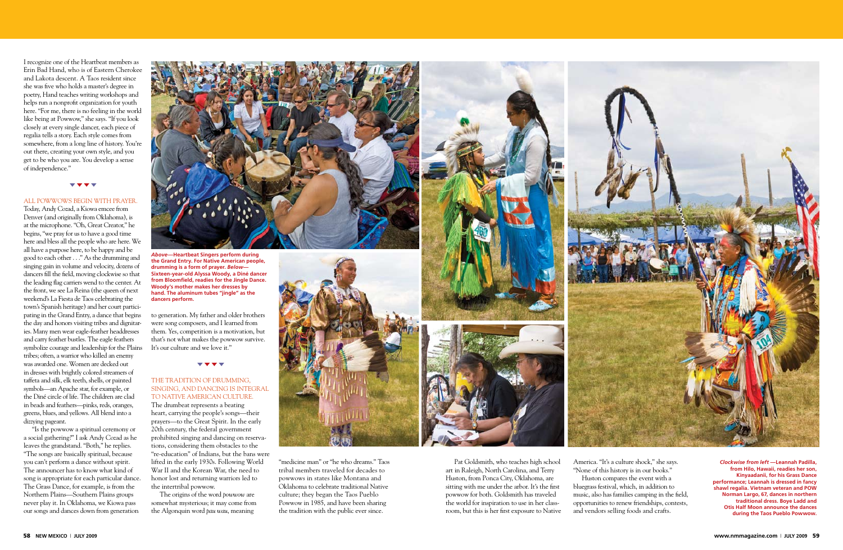I recognize one of the Heartbeat members as Erin Bad Hand, who is of Eastern Cherokee and Lakota descent. A Taos resident since she was five who holds a master's degree in poetry, Hand teaches writing workshops and helps run a nonprofit organization for youth here. "For me, there is no feeling in the world like being at Powwow," she says. "If you look closely at every single dancer, each piece of regalia tells a story. Each style comes from somewhere, from a long line of history. You're out there, creating your own style, and you get to be who you are. You develop a sense of independence."

#### t t t t

#### All powwows begin with prayer.

Today, Andy Cozad, a Kiowa emcee from Denver (and originally from Oklahoma), is at the microphone. "Oh, Great Creator," he begins, "we pray for us to have a good time here and bless all the people who are here. We all have a purpose here, to be happy and be good to each other . . ." As the drumming and singing gain in volume and velocity, dozens of dancers fill the field, moving clockwise so that the leading flag carriers wend to the center. At the front, we see La Reina (the queen of next weekend's La Fiesta de Taos celebrating the town's Spanish heritage) and her court participating in the Grand Entry, a dance that begins the day and honors visiting tribes and dignitaries. Many men wear eagle-feather headdresses and carry feather bustles. The eagle feathers symbolize courage and leadership for the Plains tribes; often, a warrior who killed an enemy was awarded one. Women are decked out in dresses with brightly colored streamers of taffeta and silk, elk teeth, shells, or painted symbols—an Apache star, for example, or the Diné circle of life. The children are clad in beads and feathers—pinks, reds, oranges, greens, blues, and yellows. All blend into a dizzying pageant.

#### THE TRADITION OF DRUMMING, singing, and dancing is integral to Native American culture.

"Is the powwow a spiritual ceremony or a social gathering?" I ask Andy Cozad as he leaves the grandstand. "Both," he replies. "The songs are basically spiritual, because you can't perform a dance without spirit. The announcer has to know what kind of song is appropriate for each particular dance. The Grass Dance, for example, is from the Northern Plains—Southern Plains groups never play it. In Oklahoma, we Kiowa pass our songs and dances down from generation



to generation. My father and older brothers were song composers, and I learned from them. Yes, competition is a motivation, but that's not what makes the powwow survive. It's our culture and we love it."

#### t t t t

The drumbeat represents a beating heart, carrying the people's songs—their prayers—to the Great Spirit. In the early 20th century, the federal government prohibited singing and dancing on reservations, considering them obstacles to the "re-education" of Indians, but the bans were lifted in the early 1930s. Following World War II and the Korean War, the need to honor lost and returning warriors led to the intertribal powwow.

The origins of the word *powwow* are somewhat mysterious; it may come from the Algonquin word *pau wau*, meaning



"medicine man" or "he who dreams." Taos tribal members traveled for decades to powwows in states like Montana and Oklahoma to celebrate traditional Native culture; they began the Taos Pueblo Powwow in 1985, and have been sharing the tradition with the public ever since.



*Above***—Heartbeat Singers perform during the Grand Entry. For Native American people, drumming is a form of prayer.** *Below***— Sixteen-year-old Alyssa Woody, a Diné dancer from Bloomfield, readies for the Jingle Dance. Woody's mother makes her dresses by hand. The aluminum tubes "jingle" as the dancers perform.**

> Pat Goldsmith, who teaches high school art in Raleigh, North Carolina, and Terry Huston, from Ponca City, Oklahoma, are sitting with me under the arbor. It's the first powwow for both. Goldsmith has traveled the world for inspiration to use in her classroom, but this is her first exposure to Native

America. "It's a culture shock," she says. "None of this history is in our books." Huston compares the event with a bluegrass festival, which, in addition to music, also has families camping in the field, opportunities to renew friendships, contests, and vendors selling foods and crafts.



*Clockwise from left* **—Leannah Padilla, from Hilo, Hawaii, readies her son, Kinyaadanii, for his Grass Dance performance; Leannah is dressed in fancy shawl regalia. Vietnam veteran and POW Norman Largo, 67, dances in northern traditional dress. Boye Ladd and Otis Half Moon announce the dances during the Taos Pueblo Powwow.**